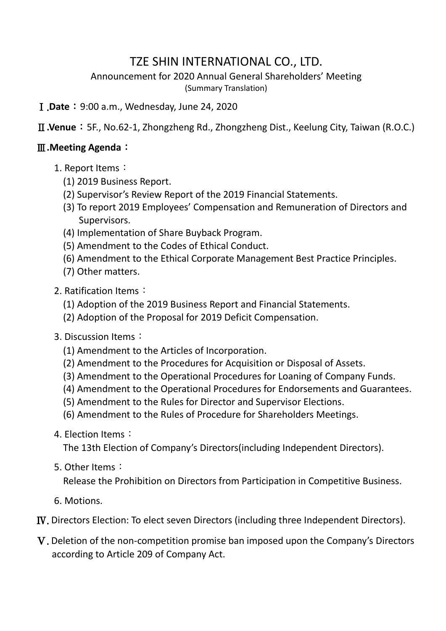## TZE SHIN INTERNATIONAL CO., LTD.

Announcement for 2020 Annual General Shareholders' Meeting (Summary Translation)

Ⅰ.**Date**:9:00 a.m., Wednesday, June 24, 2020

Ⅱ**.Venue**:5F., No.62-1, Zhongzheng Rd., Zhongzheng Dist., Keelung City, Taiwan (R.O.C.)

## Ⅲ**.Meeting Agenda**:

- 1. Report Items:
	- (1) 2019 Business Report.
	- (2) Supervisor's Review Report of the 2019 Financial Statements.
	- (3) To report 2019 Employees' Compensation and Remuneration of Directors and Supervisors.
	- (4) Implementation of Share Buyback Program.
	- (5) Amendment to the Codes of Ethical Conduct.
	- (6) Amendment to the Ethical Corporate Management Best Practice Principles.
	- (7) Other matters.
- 2. Ratification Items:
	- (1) Adoption of the 2019 Business Report and Financial Statements.
	- (2) Adoption of the Proposal for 2019 Deficit Compensation.
- 3. Discussion Items:
	- (1) Amendment to the Articles of Incorporation.
	- (2) Amendment to the Procedures for Acquisition or Disposal of Assets.
	- (3) Amendment to the Operational Procedures for Loaning of Company Funds.
	- (4) Amendment to the Operational Procedures for Endorsements and Guarantees.
	- (5) Amendment to the Rules for Director and Supervisor Elections.
	- (6) Amendment to the Rules of Procedure for Shareholders Meetings.
- 4. Election Items:

The 13th Election of Company's Directors(including Independent Directors).

## 5. Other Items:

Release the Prohibition on Directors from Participation in Competitive Business.

6. Motions.

Ⅳ. Directors Election: To elect seven Directors (including three Independent Directors).

Ⅴ. Deletion of the non-competition promise ban imposed upon the Company's Directors according to Article 209 of Company Act.